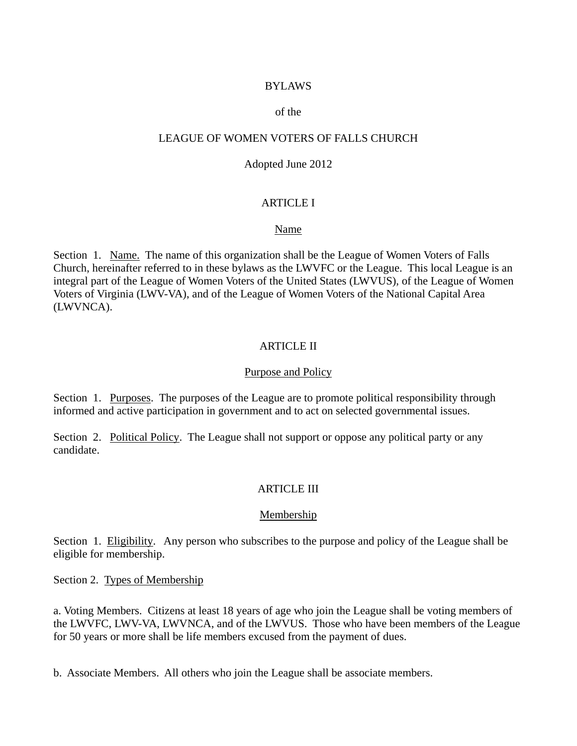### BYLAWS

#### of the

### LEAGUE OF WOMEN VOTERS OF FALLS CHURCH

#### Adopted June 2012

### ARTICLE I

#### Name

Section 1. Name. The name of this organization shall be the League of Women Voters of Falls Church, hereinafter referred to in these bylaws as the LWVFC or the League. This local League is an integral part of the League of Women Voters of the United States (LWVUS), of the League of Women Voters of Virginia (LWV-VA), and of the League of Women Voters of the National Capital Area (LWVNCA).

### ARTICLE II

#### Purpose and Policy

Section 1. Purposes. The purposes of the League are to promote political responsibility through informed and active participation in government and to act on selected governmental issues.

Section 2. Political Policy. The League shall not support or oppose any political party or any candidate.

### ARTICLE III

### Membership

Section 1. Eligibility. Any person who subscribes to the purpose and policy of the League shall be eligible for membership.

Section 2. Types of Membership

a. Voting Members. Citizens at least 18 years of age who join the League shall be voting members of the LWVFC, LWV-VA, LWVNCA, and of the LWVUS. Those who have been members of the League for 50 years or more shall be life members excused from the payment of dues.

b. Associate Members. All others who join the League shall be associate members.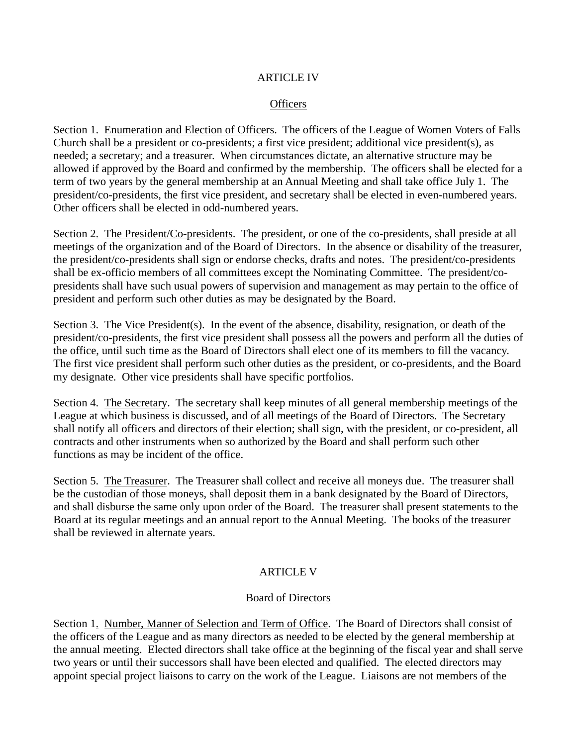### ARTICLE IV

### **Officers**

Section 1. Enumeration and Election of Officers. The officers of the League of Women Voters of Falls Church shall be a president or co-presidents; a first vice president; additional vice president(s), as needed; a secretary; and a treasurer. When circumstances dictate, an alternative structure may be allowed if approved by the Board and confirmed by the membership. The officers shall be elected for a term of two years by the general membership at an Annual Meeting and shall take office July 1. The president/co-presidents, the first vice president, and secretary shall be elected in even-numbered years. Other officers shall be elected in odd-numbered years.

Section 2. The President/Co-presidents. The president, or one of the co-presidents, shall preside at all meetings of the organization and of the Board of Directors. In the absence or disability of the treasurer, the president/co-presidents shall sign or endorse checks, drafts and notes. The president/co-presidents shall be ex-officio members of all committees except the Nominating Committee. The president/copresidents shall have such usual powers of supervision and management as may pertain to the office of president and perform such other duties as may be designated by the Board.

Section 3. The Vice President(s). In the event of the absence, disability, resignation, or death of the president/co-presidents, the first vice president shall possess all the powers and perform all the duties of the office, until such time as the Board of Directors shall elect one of its members to fill the vacancy. The first vice president shall perform such other duties as the president, or co-presidents, and the Board my designate. Other vice presidents shall have specific portfolios.

Section 4. The Secretary. The secretary shall keep minutes of all general membership meetings of the League at which business is discussed, and of all meetings of the Board of Directors. The Secretary shall notify all officers and directors of their election; shall sign, with the president, or co-president, all contracts and other instruments when so authorized by the Board and shall perform such other functions as may be incident of the office.

Section 5. The Treasurer. The Treasurer shall collect and receive all moneys due. The treasurer shall be the custodian of those moneys, shall deposit them in a bank designated by the Board of Directors, and shall disburse the same only upon order of the Board. The treasurer shall present statements to the Board at its regular meetings and an annual report to the Annual Meeting. The books of the treasurer shall be reviewed in alternate years.

### ARTICLE V

### Board of Directors

Section 1. Number, Manner of Selection and Term of Office. The Board of Directors shall consist of the officers of the League and as many directors as needed to be elected by the general membership at the annual meeting. Elected directors shall take office at the beginning of the fiscal year and shall serve two years or until their successors shall have been elected and qualified. The elected directors may appoint special project liaisons to carry on the work of the League. Liaisons are not members of the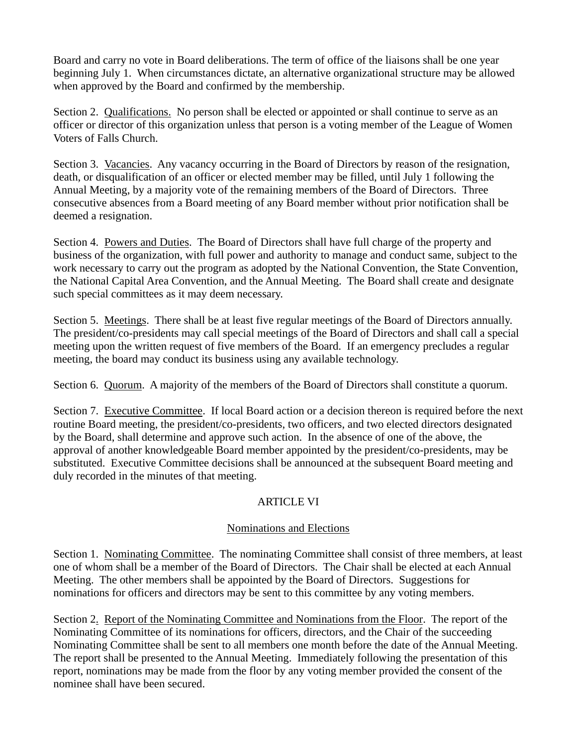Board and carry no vote in Board deliberations. The term of office of the liaisons shall be one year beginning July 1. When circumstances dictate, an alternative organizational structure may be allowed when approved by the Board and confirmed by the membership.

Section 2. Qualifications. No person shall be elected or appointed or shall continue to serve as an officer or director of this organization unless that person is a voting member of the League of Women Voters of Falls Church.

Section 3. Vacancies. Any vacancy occurring in the Board of Directors by reason of the resignation, death, or disqualification of an officer or elected member may be filled, until July 1 following the Annual Meeting, by a majority vote of the remaining members of the Board of Directors. Three consecutive absences from a Board meeting of any Board member without prior notification shall be deemed a resignation.

Section 4. Powers and Duties. The Board of Directors shall have full charge of the property and business of the organization, with full power and authority to manage and conduct same, subject to the work necessary to carry out the program as adopted by the National Convention, the State Convention, the National Capital Area Convention, and the Annual Meeting. The Board shall create and designate such special committees as it may deem necessary.

Section 5. Meetings. There shall be at least five regular meetings of the Board of Directors annually. The president/co-presidents may call special meetings of the Board of Directors and shall call a special meeting upon the written request of five members of the Board. If an emergency precludes a regular meeting, the board may conduct its business using any available technology.

Section 6. Quorum. A majority of the members of the Board of Directors shall constitute a quorum.

Section 7. Executive Committee. If local Board action or a decision thereon is required before the next routine Board meeting, the president/co-presidents, two officers, and two elected directors designated by the Board, shall determine and approve such action. In the absence of one of the above, the approval of another knowledgeable Board member appointed by the president/co-presidents, may be substituted. Executive Committee decisions shall be announced at the subsequent Board meeting and duly recorded in the minutes of that meeting.

# ARTICLE VI

# Nominations and Elections

Section 1. Nominating Committee. The nominating Committee shall consist of three members, at least one of whom shall be a member of the Board of Directors. The Chair shall be elected at each Annual Meeting. The other members shall be appointed by the Board of Directors. Suggestions for nominations for officers and directors may be sent to this committee by any voting members.

Section 2. Report of the Nominating Committee and Nominations from the Floor. The report of the Nominating Committee of its nominations for officers, directors, and the Chair of the succeeding Nominating Committee shall be sent to all members one month before the date of the Annual Meeting. The report shall be presented to the Annual Meeting. Immediately following the presentation of this report, nominations may be made from the floor by any voting member provided the consent of the nominee shall have been secured.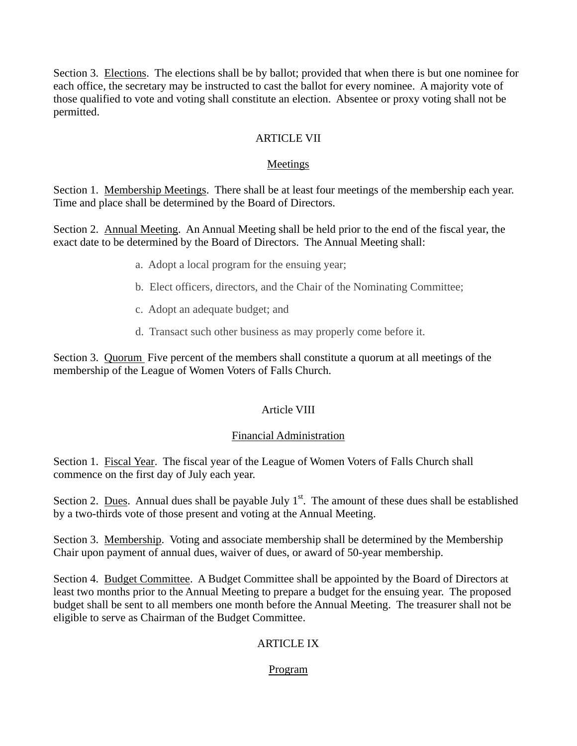Section 3. Elections. The elections shall be by ballot; provided that when there is but one nominee for each office, the secretary may be instructed to cast the ballot for every nominee. A majority vote of those qualified to vote and voting shall constitute an election. Absentee or proxy voting shall not be permitted.

# ARTICLE VII

### Meetings

Section 1. Membership Meetings. There shall be at least four meetings of the membership each year. Time and place shall be determined by the Board of Directors.

Section 2. Annual Meeting. An Annual Meeting shall be held prior to the end of the fiscal year, the exact date to be determined by the Board of Directors. The Annual Meeting shall:

- a. Adopt a local program for the ensuing year;
- b. Elect officers, directors, and the Chair of the Nominating Committee;
- c. Adopt an adequate budget; and
- d. Transact such other business as may properly come before it.

Section 3. Quorum Five percent of the members shall constitute a quorum at all meetings of the membership of the League of Women Voters of Falls Church.

# Article VIII

### Financial Administration

Section 1. Fiscal Year. The fiscal year of the League of Women Voters of Falls Church shall commence on the first day of July each year.

Section 2. Dues. Annual dues shall be payable July  $1<sup>st</sup>$ . The amount of these dues shall be established by a two-thirds vote of those present and voting at the Annual Meeting.

Section 3. Membership. Voting and associate membership shall be determined by the Membership Chair upon payment of annual dues, waiver of dues, or award of 50-year membership.

Section 4. Budget Committee. A Budget Committee shall be appointed by the Board of Directors at least two months prior to the Annual Meeting to prepare a budget for the ensuing year. The proposed budget shall be sent to all members one month before the Annual Meeting. The treasurer shall not be eligible to serve as Chairman of the Budget Committee.

# ARTICLE IX

# Program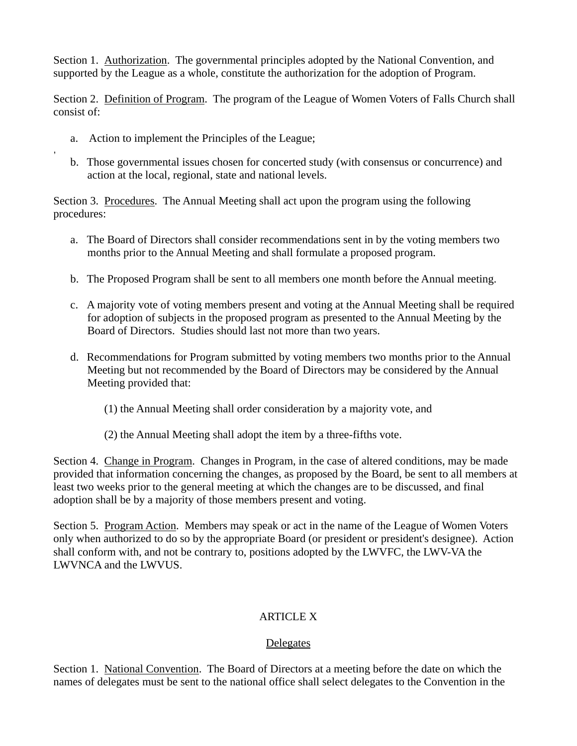Section 1. Authorization. The governmental principles adopted by the National Convention, and supported by the League as a whole, constitute the authorization for the adoption of Program.

Section 2. Definition of Program. The program of the League of Women Voters of Falls Church shall consist of:

a. Action to implement the Principles of the League;

,

b. Those governmental issues chosen for concerted study (with consensus or concurrence) and action at the local, regional, state and national levels.

Section 3. Procedures. The Annual Meeting shall act upon the program using the following procedures:

- a. The Board of Directors shall consider recommendations sent in by the voting members two months prior to the Annual Meeting and shall formulate a proposed program.
- b. The Proposed Program shall be sent to all members one month before the Annual meeting.
- c. A majority vote of voting members present and voting at the Annual Meeting shall be required for adoption of subjects in the proposed program as presented to the Annual Meeting by the Board of Directors. Studies should last not more than two years.
- d. Recommendations for Program submitted by voting members two months prior to the Annual Meeting but not recommended by the Board of Directors may be considered by the Annual Meeting provided that:
	- (1) the Annual Meeting shall order consideration by a majority vote, and
	- (2) the Annual Meeting shall adopt the item by a three-fifths vote.

Section 4. Change in Program. Changes in Program, in the case of altered conditions, may be made provided that information concerning the changes, as proposed by the Board, be sent to all members at least two weeks prior to the general meeting at which the changes are to be discussed, and final adoption shall be by a majority of those members present and voting.

Section 5. Program Action. Members may speak or act in the name of the League of Women Voters only when authorized to do so by the appropriate Board (or president or president's designee). Action shall conform with, and not be contrary to, positions adopted by the LWVFC, the LWV-VA the LWVNCA and the LWVUS.

# ARTICLE X

# Delegates

Section 1. National Convention. The Board of Directors at a meeting before the date on which the names of delegates must be sent to the national office shall select delegates to the Convention in the